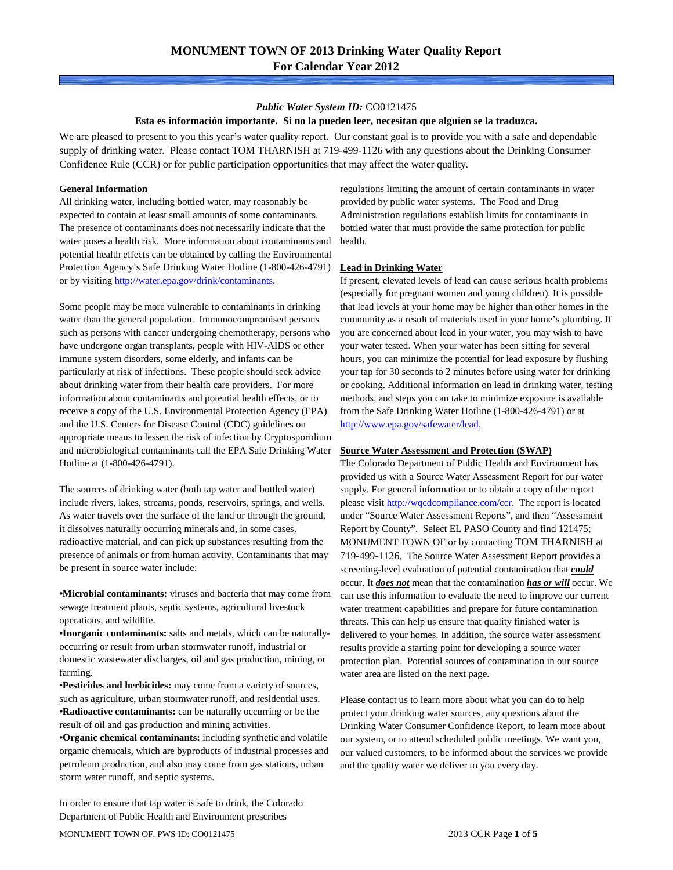## *Public Water System ID:* CO0121475

### **Esta es información importante. Si no la pueden leer, necesitan que alguien se la traduzca.**

We are pleased to present to you this year's water quality report. Our constant goal is to provide you with a safe and dependable supply of drinking water. Please contact TOM THARNISH at 719-499-1126 with any questions about the Drinking Consumer Confidence Rule (CCR) or for public participation opportunities that may affect the water quality.

### **General Information**

All drinking water, including bottled water, may reasonably be expected to contain at least small amounts of some contaminants. The presence of contaminants does not necessarily indicate that the water poses a health risk. More information about contaminants and potential health effects can be obtained by calling the Environmental Protection Agency's Safe Drinking Water Hotline (1-800-426-4791) or by visiting [http://water.epa.gov/drink/contaminants.](http://water.epa.gov/drink/contaminants)

Some people may be more vulnerable to contaminants in drinking water than the general population. Immunocompromised persons such as persons with cancer undergoing chemotherapy, persons who have undergone organ transplants, people with HIV-AIDS or other immune system disorders, some elderly, and infants can be particularly at risk of infections. These people should seek advice about drinking water from their health care providers. For more information about contaminants and potential health effects, or to receive a copy of the U.S. Environmental Protection Agency (EPA) and the U.S. Centers for Disease Control (CDC) guidelines on appropriate means to lessen the risk of infection by Cryptosporidium and microbiological contaminants call the EPA Safe Drinking Water Hotline at (1-800-426-4791).

The sources of drinking water (both tap water and bottled water) include rivers, lakes, streams, ponds, reservoirs, springs, and wells. As water travels over the surface of the land or through the ground, it dissolves naturally occurring minerals and, in some cases, radioactive material, and can pick up substances resulting from the presence of animals or from human activity. Contaminants that may be present in source water include:

**•Microbial contaminants:** viruses and bacteria that may come from sewage treatment plants, septic systems, agricultural livestock operations, and wildlife.

**•Inorganic contaminants:** salts and metals, which can be naturallyoccurring or result from urban stormwater runoff, industrial or domestic wastewater discharges, oil and gas production, mining, or farming.

•**Pesticides and herbicides:** may come from a variety of sources, such as agriculture, urban stormwater runoff, and residential uses. **•Radioactive contaminants:** can be naturally occurring or be the result of oil and gas production and mining activities.

**•Organic chemical contaminants:** including synthetic and volatile organic chemicals, which are byproducts of industrial processes and petroleum production, and also may come from gas stations, urban storm water runoff, and septic systems.

In order to ensure that tap water is safe to drink, the Colorado Department of Public Health and Environment prescribes

regulations limiting the amount of certain contaminants in water provided by public water systems. The Food and Drug Administration regulations establish limits for contaminants in bottled water that must provide the same protection for public health.

### **Lead in Drinking Water**

If present, elevated levels of lead can cause serious health problems (especially for pregnant women and young children). It is possible that lead levels at your home may be higher than other homes in the community as a result of materials used in your home's plumbing. If you are concerned about lead in your water, you may wish to have your water tested. When your water has been sitting for several hours, you can minimize the potential for lead exposure by flushing your tap for 30 seconds to 2 minutes before using water for drinking or cooking. Additional information on lead in drinking water, testing methods, and steps you can take to minimize exposure is available from the Safe Drinking Water Hotline (1-800-426-4791) or at [http://www.epa.gov/safewater/lead.](http://www.epa.gov/safewater/lead) 

### **Source Water Assessment and Protection (SWAP)**

The Colorado Department of Public Health and Environment has provided us with a Source Water Assessment Report for our water supply. For general information or to obtain a copy of the report please visit [http://wqcdcompliance.com/ccr.](http://wqcdcompliance.com/ccr) The report is located under "Source Water Assessment Reports", and then "Assessment Report by County". Select EL PASO County and find 121475; MONUMENT TOWN OF or by contacting TOM THARNISH at 719-499-1126. The Source Water Assessment Report provides a screening-level evaluation of potential contamination that *could* occur. It *does not* mean that the contamination *has or will* occur. We can use this information to evaluate the need to improve our current water treatment capabilities and prepare for future contamination threats. This can help us ensure that quality finished water is delivered to your homes. In addition, the source water assessment results provide a starting point for developing a source water protection plan. Potential sources of contamination in our source water area are listed on the next page.

Please contact us to learn more about what you can do to help protect your drinking water sources, any questions about the Drinking Water Consumer Confidence Report, to learn more about our system, or to attend scheduled public meetings. We want you, our valued customers, to be informed about the services we provide and the quality water we deliver to you every day.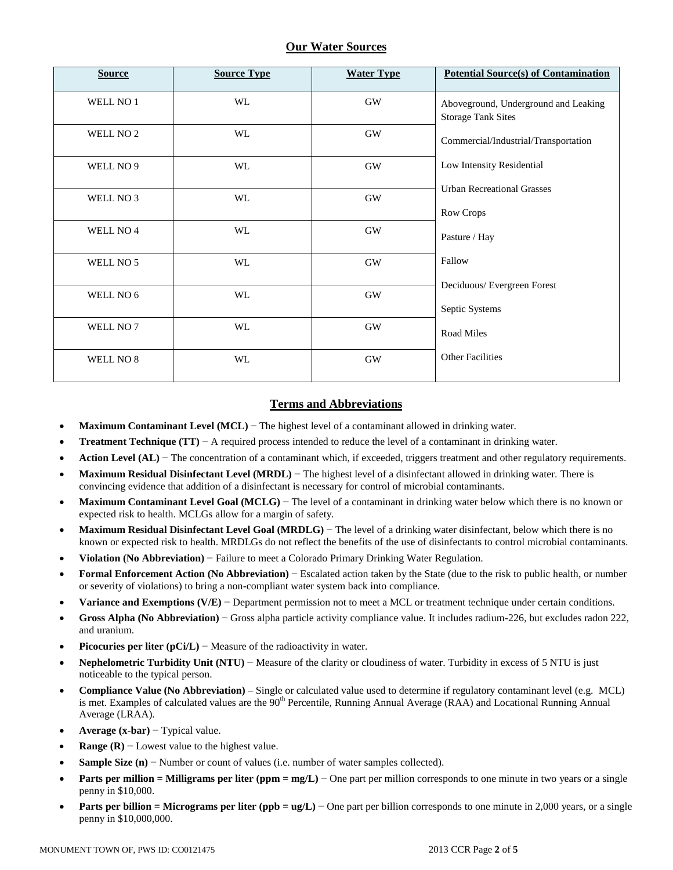## **Our Water Sources**

| <b>Source</b>        | <b>Source Type</b> | <b>Water Type</b> | <b>Potential Source(s) of Contamination</b>                       |
|----------------------|--------------------|-------------------|-------------------------------------------------------------------|
| WELL NO 1            | WL                 | <b>GW</b>         | Aboveground, Underground and Leaking<br><b>Storage Tank Sites</b> |
| WELL NO <sub>2</sub> | WL                 | $\rm GW$          | Commercial/Industrial/Transportation                              |
| WELL NO 9            | WL                 | $\rm GW$          | Low Intensity Residential                                         |
| WELL NO 3            | WL                 | $\rm GW$          | <b>Urban Recreational Grasses</b>                                 |
|                      |                    |                   | Row Crops                                                         |
| WELL NO 4            | WL                 | $\rm GW$          | Pasture / Hay                                                     |
| WELL NO 5            | WL                 | <b>GW</b>         | Fallow                                                            |
|                      |                    |                   | Deciduous/Evergreen Forest                                        |
| WELL NO 6            | WL                 | <b>GW</b>         | Septic Systems                                                    |
| WELL NO 7            | WL                 | $\rm GW$          | Road Miles                                                        |
| WELL NO 8            | WL                 | $\rm GW$          | <b>Other Facilities</b>                                           |

## **Terms and Abbreviations**

- **Maximum Contaminant Level (MCL)** − The highest level of a contaminant allowed in drinking water.
- **Treatment Technique (TT)** − A required process intended to reduce the level of a contaminant in drinking water.
- **Action Level (AL)** − The concentration of a contaminant which, if exceeded, triggers treatment and other regulatory requirements.
- **Maximum Residual Disinfectant Level (MRDL)** − The highest level of a disinfectant allowed in drinking water. There is convincing evidence that addition of a disinfectant is necessary for control of microbial contaminants.
- **Maximum Contaminant Level Goal (MCLG)** − The level of a contaminant in drinking water below which there is no known or expected risk to health. MCLGs allow for a margin of safety.
- **Maximum Residual Disinfectant Level Goal (MRDLG)** − The level of a drinking water disinfectant, below which there is no known or expected risk to health. MRDLGs do not reflect the benefits of the use of disinfectants to control microbial contaminants.
- **Violation (No Abbreviation)** − Failure to meet a Colorado Primary Drinking Water Regulation.
- **Formal Enforcement Action (No Abbreviation)** − Escalated action taken by the State (due to the risk to public health, or number or severity of violations) to bring a non-compliant water system back into compliance.
- **Variance and Exemptions (V/E)** − Department permission not to meet a MCL or treatment technique under certain conditions.
- **Gross Alpha (No Abbreviation)** − Gross alpha particle activity compliance value. It includes radium-226, but excludes radon 222, and uranium.
- **Picocuries per liter (pCi/L)** − Measure of the radioactivity in water.
- **Nephelometric Turbidity Unit (NTU)** − Measure of the clarity or cloudiness of water. Turbidity in excess of 5 NTU is just noticeable to the typical person.
- **Compliance Value (No Abbreviation)** Single or calculated value used to determine if regulatory contaminant level (e.g. MCL) is met. Examples of calculated values are the  $90<sup>th</sup>$  Percentile, Running Annual Average (RAA) and Locational Running Annual Average (LRAA).
- **Average (x-bar)** − Typical value.
- **Range (R)**  $-$  Lowest value to the highest value.
- **Sample Size (n)** − Number or count of values (i.e. number of water samples collected).
- **Parts per million = Milligrams per liter (ppm = mg/L)** − One part per million corresponds to one minute in two years or a single penny in \$10,000.
- **Parts per billion = Micrograms per liter (ppb = ug/L)** − One part per billion corresponds to one minute in 2,000 years, or a single penny in \$10,000,000.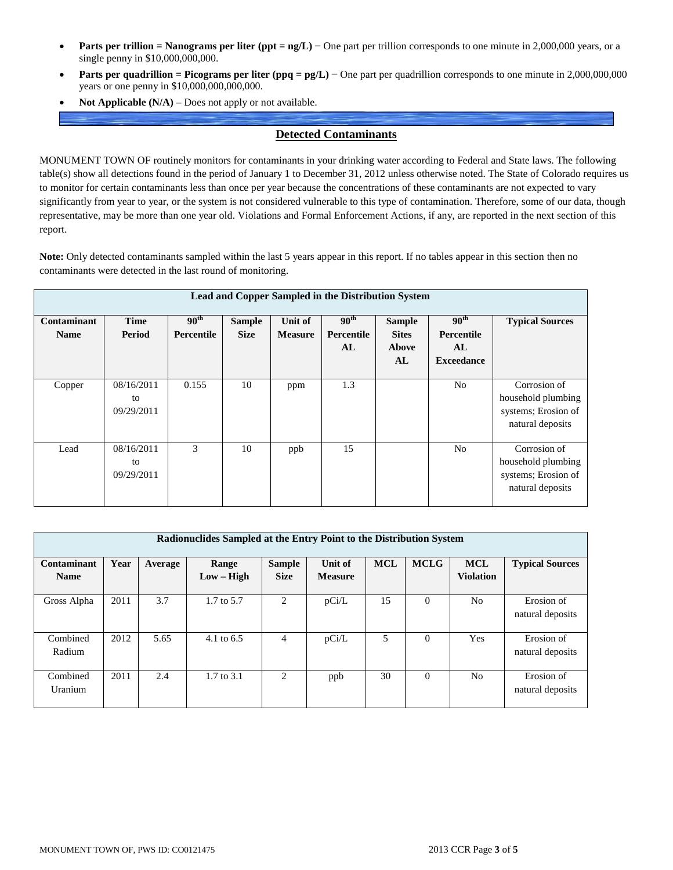- **Parts per trillion = Nanograms per liter (ppt = ng/L)** − One part per trillion corresponds to one minute in 2,000,000 years, or a single penny in \$10,000,000,000.
- **Parts per quadrillion = Picograms per liter (ppq = pg/L)** − One part per quadrillion corresponds to one minute in 2,000,000,000 years or one penny in \$10,000,000,000,000.
- **Not Applicable (N/A)** Does not apply or not available.

## **Detected Contaminants**

MONUMENT TOWN OF routinely monitors for contaminants in your drinking water according to Federal and State laws. The following table(s) show all detections found in the period of January 1 to December 31, 2012 unless otherwise noted. The State of Colorado requires us to monitor for certain contaminants less than once per year because the concentrations of these contaminants are not expected to vary significantly from year to year, or the system is not considered vulnerable to this type of contamination. Therefore, some of our data, though representative, may be more than one year old. Violations and Formal Enforcement Actions, if any, are reported in the next section of this report.

**Note:** Only detected contaminants sampled within the last 5 years appear in this report. If no tables appear in this section then no contaminants were detected in the last round of monitoring.

| Lead and Copper Sampled in the Distribution System |                                |                                    |                              |                           |                                             |                                                     |                                                                  |                                                                               |  |
|----------------------------------------------------|--------------------------------|------------------------------------|------------------------------|---------------------------|---------------------------------------------|-----------------------------------------------------|------------------------------------------------------------------|-------------------------------------------------------------------------------|--|
| Contaminant<br><b>Name</b>                         | <b>Time</b><br>Period          | $90^{\rm th}$<br><b>Percentile</b> | <b>Sample</b><br><b>Size</b> | Unit of<br><b>Measure</b> | $90^{\text{th}}$<br><b>Percentile</b><br>AL | <b>Sample</b><br><b>Sites</b><br><b>Above</b><br>AL | 90 <sup>th</sup><br><b>Percentile</b><br>AL<br><b>Exceedance</b> | <b>Typical Sources</b>                                                        |  |
| Copper                                             | 08/16/2011<br>to<br>09/29/2011 | 0.155                              | 10                           | ppm                       | 1.3                                         |                                                     | No                                                               | Corrosion of<br>household plumbing<br>systems; Erosion of<br>natural deposits |  |
| Lead                                               | 08/16/2011<br>to<br>09/29/2011 | 3                                  | 10                           | ppb                       | 15                                          |                                                     | N <sub>0</sub>                                                   | Corrosion of<br>household plumbing<br>systems; Erosion of<br>natural deposits |  |

| Radionuclides Sampled at the Entry Point to the Distribution System |      |         |                       |                              |                           |            |             |                                |                                |
|---------------------------------------------------------------------|------|---------|-----------------------|------------------------------|---------------------------|------------|-------------|--------------------------------|--------------------------------|
| Contaminant<br><b>Name</b>                                          | Year | Average | Range<br>$Low - High$ | <b>Sample</b><br><b>Size</b> | Unit of<br><b>Measure</b> | <b>MCL</b> | <b>MCLG</b> | <b>MCL</b><br><b>Violation</b> | <b>Typical Sources</b>         |
| Gross Alpha                                                         | 2011 | 3.7     | 1.7 to 5.7            | 2                            | pCi/L                     | 15         | $\Omega$    | N <sub>o</sub>                 | Erosion of<br>natural deposits |
| Combined<br>Radium                                                  | 2012 | 5.65    | 4.1 to $6.5$          | 4                            | pCi/L                     | 5          | $\theta$    | <b>Yes</b>                     | Erosion of<br>natural deposits |
| Combined<br>Uranium                                                 | 2011 | 2.4     | $1.7 \text{ to } 3.1$ | 2                            | ppb                       | 30         | $\theta$    | N <sub>o</sub>                 | Erosion of<br>natural deposits |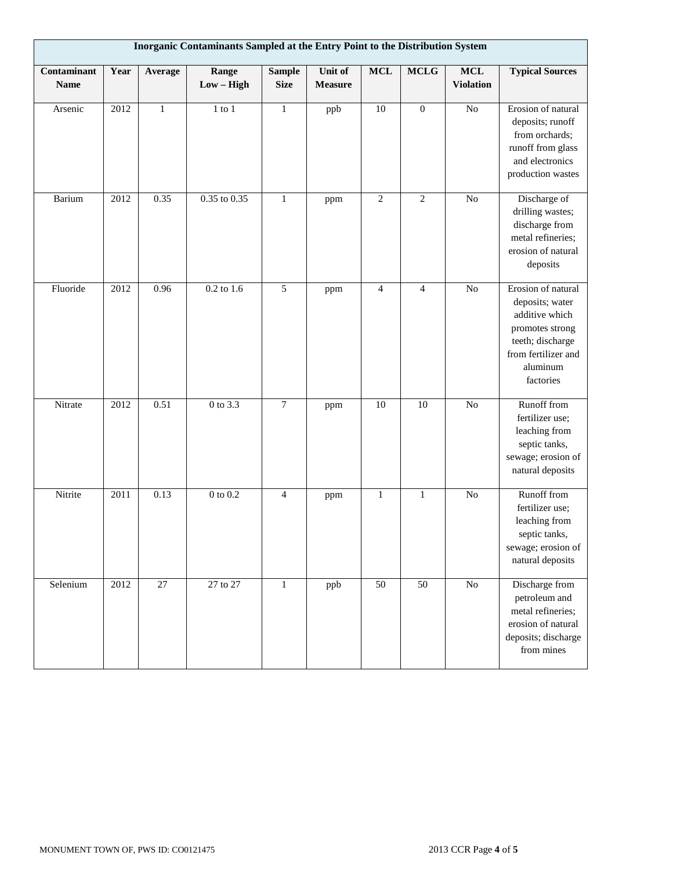| Inorganic Contaminants Sampled at the Entry Point to the Distribution System |      |              |                       |                              |                           |                 |                |                                |                                                                                                                                                |
|------------------------------------------------------------------------------|------|--------------|-----------------------|------------------------------|---------------------------|-----------------|----------------|--------------------------------|------------------------------------------------------------------------------------------------------------------------------------------------|
| Contaminant<br><b>Name</b>                                                   | Year | Average      | Range<br>$Low - High$ | <b>Sample</b><br><b>Size</b> | Unit of<br><b>Measure</b> | <b>MCL</b>      | $\bf MCLG$     | <b>MCL</b><br><b>Violation</b> | <b>Typical Sources</b>                                                                                                                         |
| Arsenic                                                                      | 2012 | $\mathbf{1}$ | $1$ to $1$            | $\mathbf{1}$                 | ppb                       | $\overline{10}$ | $\overline{0}$ | $\overline{No}$                | Erosion of natural<br>deposits; runoff<br>from orchards;<br>runoff from glass<br>and electronics<br>production wastes                          |
| Barium                                                                       | 2012 | 0.35         | $0.35$ to $0.35$      | $\mathbf{1}$                 | ppm                       | $\sqrt{2}$      | $\overline{2}$ | No                             | Discharge of<br>drilling wastes;<br>discharge from<br>metal refineries;<br>erosion of natural<br>deposits                                      |
| Fluoride                                                                     | 2012 | 0.96         | $0.2$ to 1.6          | 5                            | ppm                       | $\overline{4}$  | $\overline{4}$ | $\rm No$                       | Erosion of natural<br>deposits; water<br>additive which<br>promotes strong<br>teeth; discharge<br>from fertilizer and<br>aluminum<br>factories |
| Nitrate                                                                      | 2012 | 0.51         | 0 to 3.3              | $\overline{7}$               | ppm                       | $10\,$          | 10             | $\rm No$                       | Runoff from<br>fertilizer use;<br>leaching from<br>septic tanks,<br>sewage; erosion of<br>natural deposits                                     |
| Nitrite                                                                      | 2011 | 0.13         | $0$ to $0.2$          | $\overline{4}$               | ppm                       | $\mathbf{1}$    | $\mathbf{1}$   | $\overline{No}$                | Runoff from<br>fertilizer use;<br>leaching from<br>septic tanks,<br>sewage; erosion of<br>natural deposits                                     |
| Selenium                                                                     | 2012 | 27           | 27 to 27              | $\mathbf{1}$                 | ppb                       | 50              | 50             | $\overline{No}$                | Discharge from<br>petroleum and<br>metal refineries;<br>erosion of natural<br>deposits; discharge<br>from mines                                |